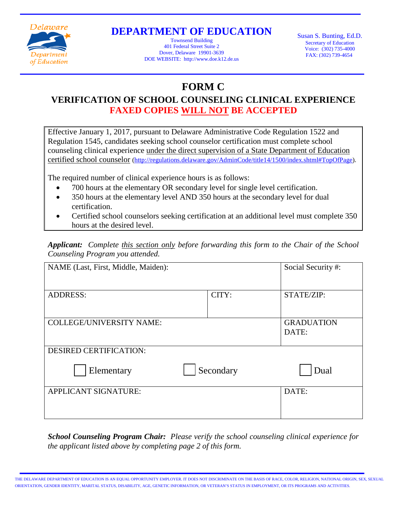

### **DEPARTMENT OF EDUCATION**

Townsend Building 401 Federal Street Suite 2 Dover, Delaware 19901-3639 DOE WEBSITE: http://www.doe.k12.de.us Susan S. Bunting, Ed.D. Secretary of Education Voice: (302) 735-4000 FAX: (302) 739-4654

# **FORM C**

## **VERIFICATION OF SCHOOL COUNSELING CLINICAL EXPERIENCE FAXED COPIES WILL NOT BE ACCEPTED**

Effective January 1, 2017, pursuant to Delaware Administrative Code Regulation 1522 and Regulation 1545, candidates seeking school counselor certification must complete school counseling clinical experience under the direct supervision of a State Department of Education certified school counselor [\(http://regulations.delaware.gov/AdminCode/title14/1500/index.shtml#TopOfPage\)](http://regulations.delaware.gov/AdminCode/title14/1500/index.shtml#TopOfPage).

The required number of clinical experience hours is as follows:

- 700 hours at the elementary OR secondary level for single level certification.
- 350 hours at the elementary level AND 350 hours at the secondary level for dual certification.
- Certified school counselors seeking certification at an additional level must complete 350 hours at the desired level.

*Applicant: Complete this section only before forwarding this form to the Chair of the School Counseling Program you attended.*

| NAME (Last, First, Middle, Maiden): |           | Social Security #:         |  |
|-------------------------------------|-----------|----------------------------|--|
| <b>ADDRESS:</b>                     | CITY:     | STATE/ZIP:                 |  |
| <b>COLLEGE/UNIVERSITY NAME:</b>     |           | <b>GRADUATION</b><br>DATE: |  |
| <b>DESIRED CERTIFICATION:</b>       |           |                            |  |
| Elementary                          | Secondary | Dual                       |  |
| <b>APPLICANT SIGNATURE:</b>         |           | DATE:                      |  |

*School Counseling Program Chair: Please verify the school counseling clinical experience for the applicant listed above by completing page 2 of this form.*

THE DELAWARE DEPARTMENT OF EDUCATION IS AN EQUAL OPPORTUNITY EMPLOYER. IT DOES NOT DISCRIMINATE ON THE BASIS OF RACE, COLOR, RELIGION, NATIONAL ORIGIN, SEX, SEXUAL ORIENTATION, GENDER IDENTITY, MARITAL STATUS, DISABILITY, AGE, GENETIC INFORMATION, OR VETERAN'S STATUS IN EMPLOYMENT, OR ITS PROGRAMS AND ACTIVITIES.